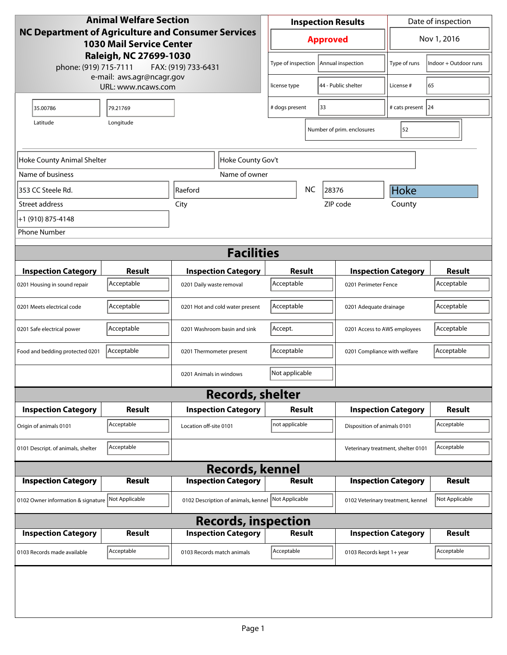| <b>Animal Welfare Section</b>                                                                                                                                          |               |                              |                                     | Date of inspection<br><b>Inspection Results</b> |                              |                                    |                                                    |                       |
|------------------------------------------------------------------------------------------------------------------------------------------------------------------------|---------------|------------------------------|-------------------------------------|-------------------------------------------------|------------------------------|------------------------------------|----------------------------------------------------|-----------------------|
| <b>NC Department of Agriculture and Consumer Services</b><br><b>1030 Mail Service Center</b><br>Raleigh, NC 27699-1030<br>phone: (919) 715-7111<br>FAX: (919) 733-6431 |               |                              | <b>Approved</b>                     |                                                 |                              | Nov 1, 2016                        |                                                    |                       |
|                                                                                                                                                                        |               |                              |                                     | Type of inspection                              |                              | Annual inspection                  | Type of runs                                       | Indoor + Outdoor runs |
| e-mail: aws.agr@ncagr.gov<br>URL: www.ncaws.com                                                                                                                        |               |                              | license type                        |                                                 | 44 - Public shelter          | License #                          | 65                                                 |                       |
| 35.00786                                                                                                                                                               | 79.21769      |                              |                                     | # dogs present                                  |                              | 33                                 | # cats present 24                                  |                       |
| Longitude<br>Latitude                                                                                                                                                  |               |                              |                                     |                                                 |                              | Number of prim. enclosures         | 52                                                 |                       |
| Hoke County Gov't<br>Hoke County Animal Shelter                                                                                                                        |               |                              |                                     |                                                 |                              |                                    |                                                    |                       |
| Name of business                                                                                                                                                       |               |                              | Name of owner                       |                                                 |                              |                                    |                                                    |                       |
| 353 CC Steele Rd.                                                                                                                                                      | Raeford       |                              |                                     | <b>NC</b><br>28376                              |                              |                                    | <b>Hoke</b>                                        |                       |
| Street address                                                                                                                                                         |               | City                         |                                     |                                                 |                              | ZIP code                           | County                                             |                       |
| +1 (910) 875-4148                                                                                                                                                      |               |                              |                                     |                                                 |                              |                                    |                                                    |                       |
| <b>Phone Number</b>                                                                                                                                                    |               |                              |                                     |                                                 |                              |                                    |                                                    |                       |
|                                                                                                                                                                        |               |                              | <b>Facilities</b>                   |                                                 |                              |                                    |                                                    |                       |
| <b>Inspection Category</b>                                                                                                                                             | <b>Result</b> |                              | <b>Inspection Category</b>          |                                                 |                              |                                    |                                                    | <b>Result</b>         |
| 0201 Housing in sound repair                                                                                                                                           | Acceptable    | 0201 Daily waste removal     |                                     | Result<br>Acceptable                            |                              |                                    | <b>Inspection Category</b><br>0201 Perimeter Fence |                       |
| 0201 Meets electrical code                                                                                                                                             | Acceptable    |                              | 0201 Hot and cold water present     | Acceptable                                      |                              | 0201 Adequate drainage             |                                                    | Acceptable            |
| 0201 Safe electrical power                                                                                                                                             | Acceptable    | 0201 Washroom basin and sink |                                     | Accept.                                         |                              |                                    | 0201 Access to AWS employees                       |                       |
| Food and bedding protected 0201                                                                                                                                        | Acceptable    | 0201 Thermometer present     |                                     | Acceptable                                      | 0201 Compliance with welfare |                                    |                                                    | Acceptable            |
|                                                                                                                                                                        |               | 0201 Animals in windows      |                                     | Not applicable                                  |                              |                                    |                                                    |                       |
|                                                                                                                                                                        |               |                              | <b>Records, shelter</b>             |                                                 |                              |                                    |                                                    |                       |
| <b>Inspection Category</b>                                                                                                                                             | Result        |                              | <b>Inspection Category</b>          | Result                                          |                              |                                    | <b>Inspection Category</b>                         | Result                |
| Origin of animals 0101                                                                                                                                                 | Acceptable    | Location off-site 0101       |                                     | not applicable                                  |                              |                                    | Disposition of animals 0101                        |                       |
| 0101 Descript. of animals, shelter                                                                                                                                     | Acceptable    |                              |                                     |                                                 |                              | Veterinary treatment, shelter 0101 |                                                    | Acceptable            |
| <b>Records, kennel</b>                                                                                                                                                 |               |                              |                                     |                                                 |                              |                                    |                                                    |                       |
| <b>Inspection Category</b>                                                                                                                                             | <b>Result</b> |                              | <b>Inspection Category</b>          |                                                 | <b>Result</b>                |                                    | <b>Inspection Category</b>                         |                       |
| 0102 Owner information & signature Not Applicable                                                                                                                      |               |                              | 0102 Description of animals, kennel | Not Applicable                                  |                              | 0102 Veterinary treatment, kennel  |                                                    | Not Applicable        |
| <b>Records, inspection</b>                                                                                                                                             |               |                              |                                     |                                                 |                              |                                    |                                                    |                       |
| <b>Inspection Category</b>                                                                                                                                             | <b>Result</b> |                              | <b>Inspection Category</b>          |                                                 | <b>Result</b>                |                                    | <b>Inspection Category</b>                         | Result                |
| 0103 Records made available                                                                                                                                            | Acceptable    | 0103 Records match animals   |                                     | Acceptable                                      |                              | 0103 Records kept 1+ year          |                                                    | Acceptable            |
|                                                                                                                                                                        |               |                              |                                     |                                                 |                              |                                    |                                                    |                       |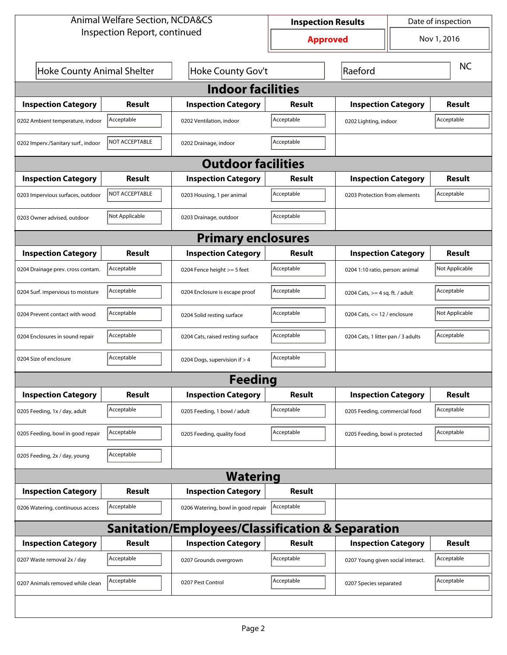| <b>Animal Welfare Section, NCDA&amp;CS</b>       |                |                                    | Date of inspection<br><b>Inspection Results</b> |                                   |                                    |                |  |  |
|--------------------------------------------------|----------------|------------------------------------|-------------------------------------------------|-----------------------------------|------------------------------------|----------------|--|--|
| Inspection Report, continued                     |                |                                    |                                                 | Nov 1, 2016<br><b>Approved</b>    |                                    |                |  |  |
| Hoke County Animal Shelter                       |                | Hoke County Gov't                  |                                                 | Raeford                           | <b>NC</b>                          |                |  |  |
| <b>Indoor facilities</b>                         |                |                                    |                                                 |                                   |                                    |                |  |  |
| <b>Inspection Category</b>                       | Result         | <b>Inspection Category</b>         | Result                                          |                                   | <b>Inspection Category</b>         |                |  |  |
| 0202 Ambient temperature, indoor                 | Acceptable     | 0202 Ventilation, indoor           | Acceptable                                      | 0202 Lighting, indoor             |                                    | Acceptable     |  |  |
| 0202 Imperv./Sanitary surf., indoor              | NOT ACCEPTABLE | 0202 Drainage, indoor              | Acceptable                                      |                                   |                                    |                |  |  |
|                                                  |                | <b>Outdoor facilities</b>          |                                                 |                                   |                                    |                |  |  |
| <b>Inspection Category</b>                       | Result         | <b>Inspection Category</b>         | Result                                          | <b>Inspection Category</b>        |                                    | Result         |  |  |
| 0203 Impervious surfaces, outdoor                | NOT ACCEPTABLE | 0203 Housing, 1 per animal         | Acceptable                                      |                                   | 0203 Protection from elements      |                |  |  |
| 0203 Owner advised, outdoor                      | Not Applicable | 0203 Drainage, outdoor             | Acceptable                                      |                                   |                                    |                |  |  |
|                                                  |                | <b>Primary enclosures</b>          |                                                 |                                   |                                    |                |  |  |
| <b>Inspection Category</b>                       | Result         | <b>Inspection Category</b>         | Result                                          | <b>Inspection Category</b>        |                                    | Result         |  |  |
| 0204 Drainage prev. cross contam.                | Acceptable     | 0204 Fence height >= 5 feet        | Acceptable                                      | 0204 1:10 ratio, person: animal   |                                    | Not Applicable |  |  |
| 0204 Surf. impervious to moisture                | Acceptable     | 0204 Enclosure is escape proof     | Acceptable                                      |                                   | 0204 Cats, $>=$ 4 sq. ft. / adult  |                |  |  |
| 0204 Prevent contact with wood                   | Acceptable     | 0204 Solid resting surface         | Acceptable                                      |                                   | 0204 Cats, $\le$ 12 / enclosure    |                |  |  |
| 0204 Enclosures in sound repair                  | Acceptable     | 0204 Cats, raised resting surface  | Acceptable                                      |                                   | 0204 Cats, 1 litter pan / 3 adults |                |  |  |
| 0204 Size of enclosure                           | Acceptable     | 0204 Dogs, supervision if > 4      | Acceptable                                      |                                   |                                    |                |  |  |
|                                                  |                | Feedina                            |                                                 |                                   |                                    |                |  |  |
| <b>Inspection Category</b>                       | <b>Result</b>  | <b>Inspection Category</b>         | <b>Result</b>                                   | <b>Inspection Category</b>        |                                    | <b>Result</b>  |  |  |
| 0205 Feeding, 1x / day, adult                    | Acceptable     | 0205 Feeding, 1 bowl / adult       | Acceptable                                      | 0205 Feeding, commercial food     |                                    | Acceptable     |  |  |
| 0205 Feeding, bowl in good repair                | Acceptable     | 0205 Feeding, quality food         | Acceptable                                      | 0205 Feeding, bowl is protected   |                                    | Acceptable     |  |  |
| 0205 Feeding, 2x / day, young                    | Acceptable     |                                    |                                                 |                                   |                                    |                |  |  |
|                                                  |                | <b>Watering</b>                    |                                                 |                                   |                                    |                |  |  |
| <b>Inspection Category</b>                       | <b>Result</b>  | <b>Inspection Category</b>         | <b>Result</b>                                   |                                   |                                    |                |  |  |
| 0206 Watering, continuous access                 | Acceptable     | 0206 Watering, bowl in good repair | Acceptable                                      |                                   |                                    |                |  |  |
| Sanitation/Employees/Classification & Separation |                |                                    |                                                 |                                   |                                    |                |  |  |
| <b>Inspection Category</b>                       | <b>Result</b>  | <b>Inspection Category</b>         | Result                                          | <b>Inspection Category</b>        |                                    | <b>Result</b>  |  |  |
| 0207 Waste removal 2x / day                      | Acceptable     | 0207 Grounds overgrown             | Acceptable                                      | 0207 Young given social interact. |                                    | Acceptable     |  |  |
| 0207 Animals removed while clean                 | Acceptable     | 0207 Pest Control                  | Acceptable                                      | 0207 Species separated            |                                    | Acceptable     |  |  |
|                                                  |                |                                    |                                                 |                                   |                                    |                |  |  |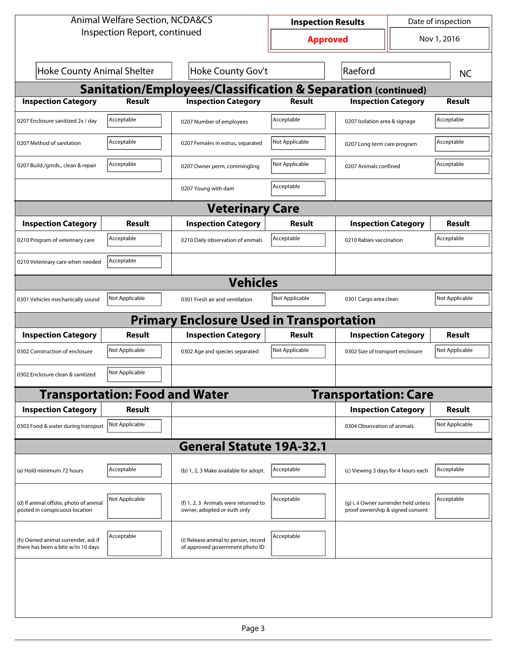| <b>Animal Welfare Section, NCDA&amp;CS</b>                               |                                       |                                                                         | Date of inspection<br><b>Inspection Results</b> |                                                                           |                                           |                |  |  |
|--------------------------------------------------------------------------|---------------------------------------|-------------------------------------------------------------------------|-------------------------------------------------|---------------------------------------------------------------------------|-------------------------------------------|----------------|--|--|
| Inspection Report, continued                                             |                                       |                                                                         | <b>Approved</b>                                 | Nov 1, 2016                                                               |                                           |                |  |  |
| <b>Hoke County Animal Shelter</b><br>Hoke County Gov't                   |                                       |                                                                         |                                                 | Raeford                                                                   |                                           | <b>NC</b>      |  |  |
| <b>Sanitation/Employees/Classification &amp; Separation (continued)</b>  |                                       |                                                                         |                                                 |                                                                           |                                           |                |  |  |
| <b>Inspection Category</b>                                               | <b>Result</b>                         | <b>Inspection Category</b>                                              | <b>Result</b>                                   | <b>Inspection Category</b>                                                |                                           | Result         |  |  |
| 0207 Enclosure sanitized 2x / day                                        | Acceptable                            | 0207 Number of employees                                                | Acceptable                                      | 0207 Isolation area & signage                                             |                                           | Acceptable     |  |  |
| 0207 Method of sanitation                                                | Acceptable                            | 0207 Females in estrus, separated                                       | Not Applicable                                  |                                                                           | Acceptable<br>0207 Long term care program |                |  |  |
| 0207 Build./grnds., clean & repair                                       | Acceptable                            | 0207 Owner perm, commingling                                            | Not Applicable                                  | 0207 Animals confined                                                     |                                           | Acceptable     |  |  |
|                                                                          |                                       | 0207 Young with dam                                                     | Acceptable                                      |                                                                           |                                           |                |  |  |
|                                                                          |                                       | <b>Veterinary Care</b>                                                  |                                                 |                                                                           |                                           |                |  |  |
| <b>Inspection Category</b>                                               | Result                                | <b>Inspection Category</b>                                              | <b>Result</b>                                   | <b>Inspection Category</b>                                                |                                           | <b>Result</b>  |  |  |
| 0210 Program of veterinary care                                          | Acceptable                            | 0210 Daily observation of animals                                       | Acceptable                                      | 0210 Rabies vaccination                                                   |                                           | Acceptable     |  |  |
| 0210 Veterinary care when needed                                         | Acceptable                            |                                                                         |                                                 |                                                                           |                                           |                |  |  |
|                                                                          | <b>Vehicles</b>                       |                                                                         |                                                 |                                                                           |                                           |                |  |  |
| 0301 Vehicles mechanically sound                                         | Not Applicable                        | 0301 Fresh air and ventilation                                          | Not Applicable                                  | 0301 Cargo area clean                                                     |                                           | Not Applicable |  |  |
|                                                                          |                                       | <b>Primary Enclosure Used in Transportation</b>                         |                                                 |                                                                           |                                           |                |  |  |
| <b>Inspection Category</b>                                               | <b>Result</b>                         | <b>Inspection Category</b>                                              | <b>Result</b>                                   | <b>Inspection Category</b>                                                |                                           | <b>Result</b>  |  |  |
| 0302 Construction of enclosure                                           | Not Applicable                        | 0302 Age and species separated                                          | Not Applicable                                  | 0302 Size of transport enclosure                                          |                                           | Not Applicable |  |  |
| 0302 Enclosure clean & sanitized                                         | Not Applicable                        |                                                                         |                                                 |                                                                           |                                           |                |  |  |
|                                                                          | <b>Transportation: Food and Water</b> |                                                                         |                                                 | <b>Transportation: Care</b>                                               |                                           |                |  |  |
| <b>Inspection Category</b>                                               | <b>Result</b>                         |                                                                         |                                                 | <b>Inspection Category</b>                                                |                                           | <b>Result</b>  |  |  |
| 0303 Food & water during transport                                       | Not Applicable                        |                                                                         |                                                 | 0304 Observation of animals                                               |                                           | Not Applicable |  |  |
|                                                                          |                                       | <b>General Statute 19A-32.1</b>                                         |                                                 |                                                                           |                                           |                |  |  |
| (a) Hold minimum 72 hours                                                | Acceptable                            | (b) 1, 2, 3 Make available for adopt.                                   | Acceptable                                      | (c) Viewing 3 days for 4 hours each                                       |                                           | Acceptable     |  |  |
| (d) If animal offsite, photo of animal<br>posted in conspicuous location | Not Applicable                        | (f) 1, 2, 3 Animals were returned to<br>owner, adopted or euth only     | Acceptable                                      | (g) i, ii Owner surrender held unless<br>proof ownership & signed consent |                                           | Acceptable     |  |  |
| (h) Owned animal surrender, ask if<br>there has been a bite w/in 10 days | Acceptable                            | (i) Release animal to person, record<br>of approved government photo ID | Acceptable                                      |                                                                           |                                           |                |  |  |
|                                                                          |                                       |                                                                         |                                                 |                                                                           |                                           |                |  |  |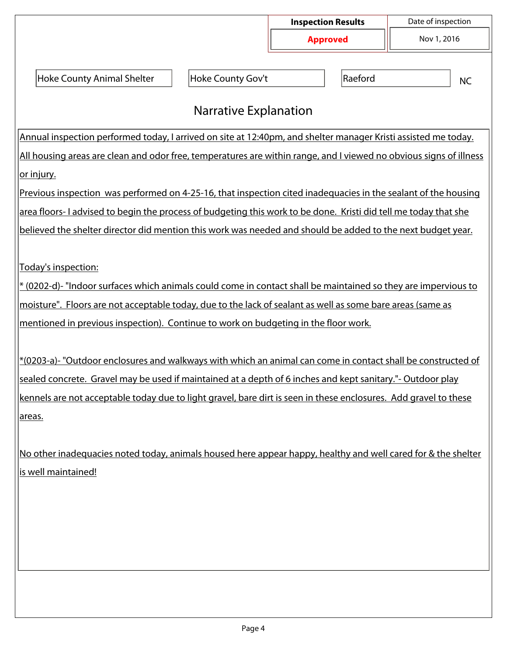|                                                                                                                    |                              | <b>Inspection Results</b> | Date of inspection |  |  |  |
|--------------------------------------------------------------------------------------------------------------------|------------------------------|---------------------------|--------------------|--|--|--|
|                                                                                                                    |                              | <b>Approved</b>           | Nov 1, 2016        |  |  |  |
| <b>Hoke County Animal Shelter</b>                                                                                  | Hoke County Gov't            | Raeford<br><b>NC</b>      |                    |  |  |  |
|                                                                                                                    | <b>Narrative Explanation</b> |                           |                    |  |  |  |
| Annual inspection performed today, I arrived on site at 12:40pm, and shelter manager Kristi assisted me today.     |                              |                           |                    |  |  |  |
| All housing areas are clean and odor free, temperatures are within range, and I viewed no obvious signs of illness |                              |                           |                    |  |  |  |
| <u>or injury.</u>                                                                                                  |                              |                           |                    |  |  |  |
| Previous inspection was performed on 4-25-16, that inspection cited inadequacies in the sealant of the housing     |                              |                           |                    |  |  |  |
| area floors-I advised to begin the process of budgeting this work to be done. Kristi did tell me today that she    |                              |                           |                    |  |  |  |
| believed the shelter director did mention this work was needed and should be added to the next budget year.        |                              |                           |                    |  |  |  |
|                                                                                                                    |                              |                           |                    |  |  |  |
| Today's inspection:                                                                                                |                              |                           |                    |  |  |  |
| * (0202-d)- "Indoor surfaces which animals could come in contact shall be maintained so they are impervious to     |                              |                           |                    |  |  |  |
| moisture". Floors are not acceptable today, due to the lack of sealant as well as some bare areas (same as         |                              |                           |                    |  |  |  |
| mentioned in previous inspection). Continue to work on budgeting in the floor work.                                |                              |                           |                    |  |  |  |
| *(0203-a)- "Outdoor enclosures and walkways with which an animal can come in contact shall be constructed of       |                              |                           |                    |  |  |  |
| sealed concrete. Gravel may be used if maintained at a depth of 6 inches and kept sanitary."- Outdoor play         |                              |                           |                    |  |  |  |
| kennels are not acceptable today due to light gravel, bare dirt is seen in these enclosures. Add gravel to these   |                              |                           |                    |  |  |  |
| areas.                                                                                                             |                              |                           |                    |  |  |  |
|                                                                                                                    |                              |                           |                    |  |  |  |
| No other inadequacies noted today, animals housed here appear happy, healthy and well cared for & the shelter      |                              |                           |                    |  |  |  |
| is well maintained!                                                                                                |                              |                           |                    |  |  |  |
|                                                                                                                    |                              |                           |                    |  |  |  |
|                                                                                                                    |                              |                           |                    |  |  |  |
|                                                                                                                    |                              |                           |                    |  |  |  |
|                                                                                                                    |                              |                           |                    |  |  |  |
|                                                                                                                    |                              |                           |                    |  |  |  |
|                                                                                                                    |                              |                           |                    |  |  |  |